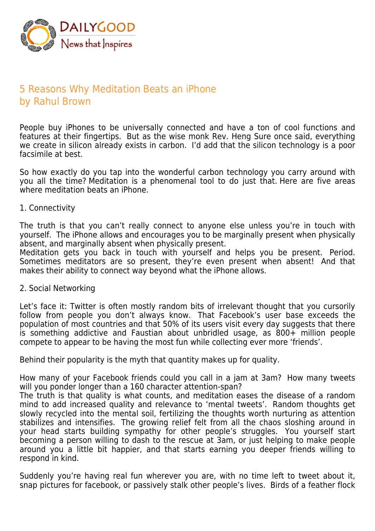

## 5 Reasons Why Meditation Beats an iPhone by Rahul Brown

People buy iPhones to be universally connected and have a ton of cool functions and features at their fingertips. But as the wise monk Rev. Heng Sure once said, everything we create in silicon already exists in carbon. I'd add that the silicon technology is a poor facsimile at best.

So how exactly do you tap into the wonderful carbon technology you carry around with you all the time? Meditation is a phenomenal tool to do just that. Here are five areas where meditation beats an iPhone.

1. Connectivity

The truth is that you can't really connect to anyone else unless you're in touch with yourself. The iPhone allows and encourages you to be marginally present when physically absent, and marginally absent when physically present.

Meditation gets you back in touch with yourself and helps you be present. Period. Sometimes meditators are so present, they're even present when absent! And that makes their ability to connect way beyond what the iPhone allows.

2. Social Networking

Let's face it: Twitter is often mostly random bits of irrelevant thought that you cursorily follow from people you don't always know. That Facebook's user base exceeds the population of most countries and that 50% of its users visit every day suggests that there is something addictive and Faustian about unbridled usage, as 800+ million people compete to appear to be having the most fun while collecting ever more 'friends'.

Behind their popularity is the myth that quantity makes up for quality.

How many of your Facebook friends could you call in a jam at 3am? How many tweets will you ponder longer than a 160 character attention-span?

The truth is that quality is what counts, and meditation eases the disease of a random mind to add increased quality and relevance to 'mental tweets'. Random thoughts get slowly recycled into the mental soil, fertilizing the thoughts worth nurturing as attention stabilizes and intensifies. The growing relief felt from all the chaos sloshing around in your head starts building sympathy for other people's struggles. You yourself start becoming a person willing to dash to the rescue at 3am, or just helping to make people around you a little bit happier, and that starts earning you deeper friends willing to respond in kind.

Suddenly you're having real fun wherever you are, with no time left to tweet about it, snap pictures for facebook, or passively stalk other people's lives. Birds of a feather flock